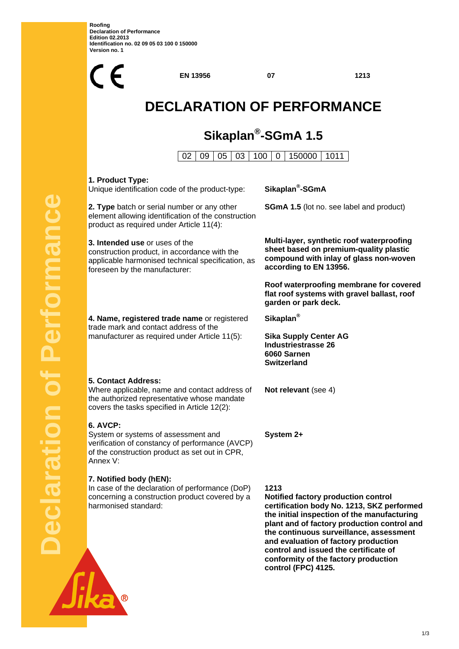**Roofing Declaration of Performance Edition 02.2013 Identification no. 02 09 05 03 100 0 150000 Version no. 1** 



**control and issued the certificate of conformity of the factory production** 

**control (FPC) 4125.**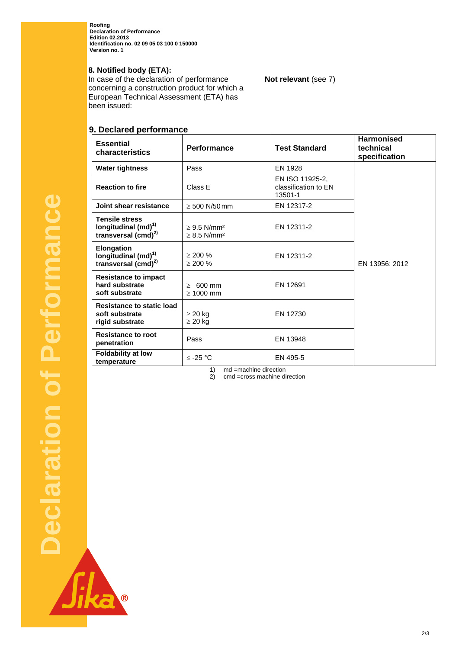**Roofing Declaration of Performance Edition 02.2013 Identification no. 02 09 05 03 100 0 150000 Version no. 1** 

## **8. Notified body (ETA):**

In case of the declaration of performance concerning a construction product for which a European Technical Assessment (ETA) has been issued:

# **9. Declared performance**

| <b>Essential</b><br>characteristics                                             | Performance                                                  | <b>Test Standard</b>                               | <b>Harmonised</b><br>technical<br>specification |
|---------------------------------------------------------------------------------|--------------------------------------------------------------|----------------------------------------------------|-------------------------------------------------|
| <b>Water tightness</b>                                                          | Pass                                                         | EN 1928                                            |                                                 |
| <b>Reaction to fire</b>                                                         | Class E                                                      | EN ISO 11925-2.<br>classification to EN<br>13501-1 |                                                 |
| Joint shear resistance                                                          | $\geq 500$ N/50 mm                                           | EN 12317-2                                         |                                                 |
| <b>Tensile stress</b><br>longitudinal $(md)^{1}$<br>transversal $(cmd)^{2)}$    | $\geq$ 9.5 N/mm <sup>2</sup><br>$\geq$ 8.5 N/mm <sup>2</sup> | EN 12311-2                                         |                                                 |
| <b>Elongation</b><br>longitudinal (md) <sup>1)</sup><br>transversal $(cmd)^{2}$ | $> 200 \%$<br>$> 200 \%$                                     | EN 12311-2                                         | EN 13956: 2012                                  |
| <b>Resistance to impact</b><br>hard substrate<br>soft substrate                 | $\geq 600$ mm<br>$\geq 1000$ mm                              | EN 12691                                           |                                                 |
| Resistance to static load<br>soft substrate<br>rigid substrate                  | $\geq 20$ kg<br>$\geq$ 20 kg                                 | EN 12730                                           |                                                 |
| <b>Resistance to root</b><br>penetration                                        | Pass                                                         | EN 13948                                           |                                                 |
| <b>Foldability at low</b><br>temperature                                        | $\le$ -25 °C                                                 | EN 495-5                                           |                                                 |

**Not relevant** (see 7)

1) md =machine direction<br>2) cmd =cross machine di cmd =cross machine direction